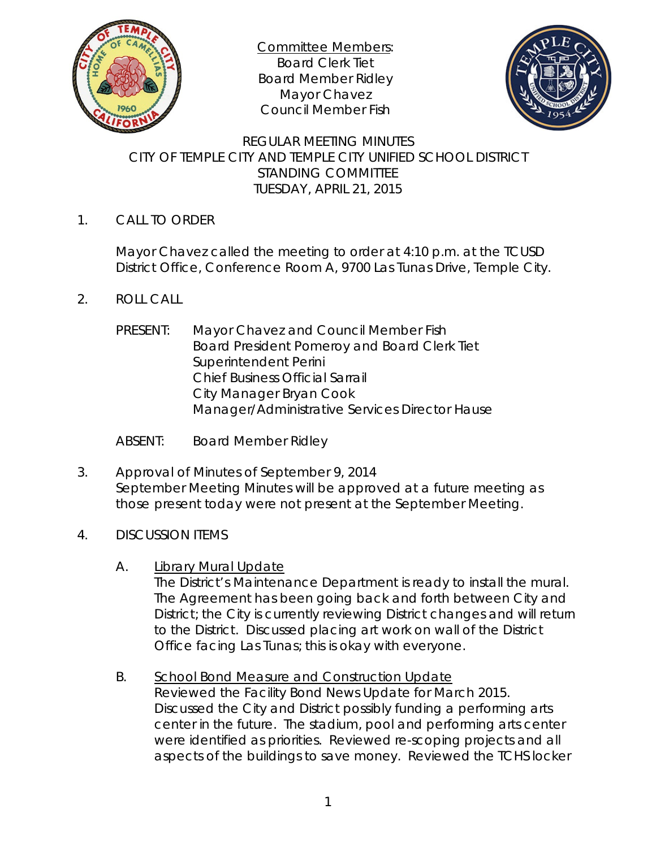

Committee Members: Board Clerk Tiet Board Member Ridley Mayor Chavez Council Member Fish



REGULAR MEETING MINUTES CITY OF TEMPLE CITY AND TEMPLE CITY UNIFIED SCHOOL DISTRICT STANDING COMMITTEE TUESDAY, APRIL 21, 2015

1. CALL TO ORDER

Mayor Chavez called the meeting to order at 4:10 p.m. at the TCUSD District Office, Conference Room A, 9700 Las Tunas Drive, Temple City.

- 2. ROLL CALL
	- PRESENT: Mayor Chavez and Council Member Fish Board President Pomeroy and Board Clerk Tiet Superintendent Perini Chief Business Official Sarrail City Manager Bryan Cook Manager/Administrative Services Director Hause
	- ABSENT: Board Member Ridley
- 3. Approval of Minutes of September 9, 2014 September Meeting Minutes will be approved at a future meeting as those present today were not present at the September Meeting.
- 4. DISCUSSION ITEMS
	- A. Library Mural Update

The District's Maintenance Department is ready to install the mural. The Agreement has been going back and forth between City and District; the City is currently reviewing District changes and will return to the District. Discussed placing art work on wall of the District Office facing Las Tunas; this is okay with everyone.

B. School Bond Measure and Construction Update Reviewed the Facility Bond News Update for March 2015.

Discussed the City and District possibly funding a performing arts center in the future. The stadium, pool and performing arts center were identified as priorities. Reviewed re-scoping projects and all aspects of the buildings to save money. Reviewed the TCHS locker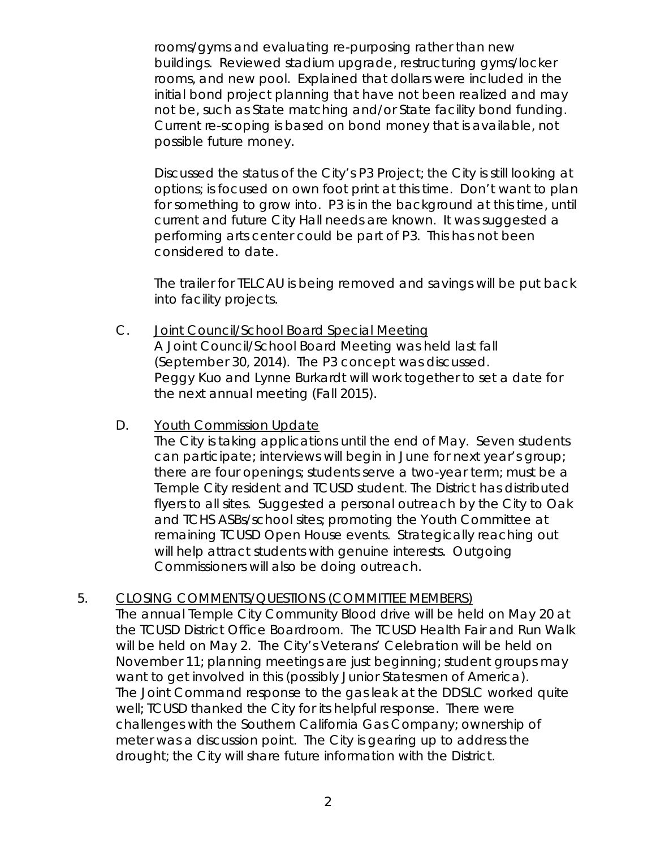rooms/gyms and evaluating re-purposing rather than new buildings. Reviewed stadium upgrade, restructuring gyms/locker rooms, and new pool. Explained that dollars were included in the initial bond project planning that have not been realized and may not be, such as State matching and/or State facility bond funding. Current re-scoping is based on bond money that is available, not possible future money.

Discussed the status of the City's P3 Project; the City is still looking at options; is focused on own foot print at this time. Don't want to plan for something to grow into. P3 is in the background at this time, until current and future City Hall needs are known. It was suggested a performing arts center could be part of P3. This has not been considered to date.

The trailer for TELCAU is being removed and savings will be put back into facility projects.

- C. Joint Council/School Board Special Meeting A Joint Council/School Board Meeting was held last fall (September 30, 2014). The P3 concept was discussed. Peggy Kuo and Lynne Burkardt will work together to set a date for the next annual meeting (Fall 2015).
- D. Youth Commission Update

The City is taking applications until the end of May. Seven students can participate; interviews will begin in June for next year's group; there are four openings; students serve a two-year term; must be a Temple City resident and TCUSD student. The District has distributed flyers to all sites. Suggested a personal outreach by the City to Oak and TCHS ASBs/school sites; promoting the Youth Committee at remaining TCUSD Open House events. Strategically reaching out will help attract students with genuine interests. Outgoing Commissioners will also be doing outreach.

5. CLOSING COMMENTS/QUESTIONS (COMMITTEE MEMBERS)

The annual Temple City Community Blood drive will be held on May 20 at the TCUSD District Office Boardroom. The TCUSD Health Fair and Run Walk will be held on May 2. The City's Veterans' Celebration will be held on November 11; planning meetings are just beginning; student groups may want to get involved in this (possibly Junior Statesmen of America). The Joint Command response to the gas leak at the DDSLC worked quite well; TCUSD thanked the City for its helpful response. There were challenges with the Southern California Gas Company; ownership of meter was a discussion point. The City is gearing up to address the drought; the City will share future information with the District.